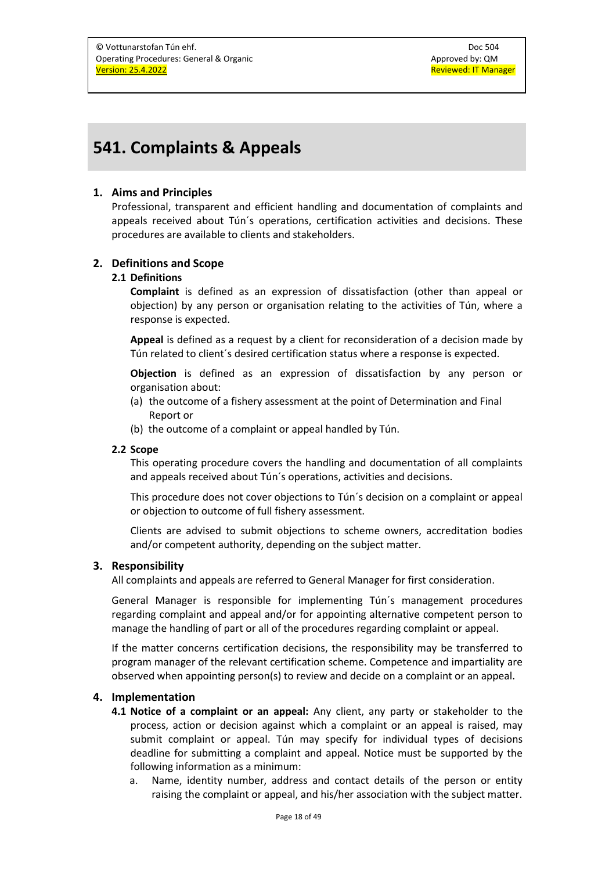# **541. Complaints & Appeals**

## **1. Aims and Principles**

Professional, transparent and efficient handling and documentation of complaints and appeals received about Tún´s operations, certification activities and decisions. These procedures are available to clients and stakeholders.

## **2. Definitions and Scope**

#### **2.1 Definitions**

**Complaint** is defined as an expression of dissatisfaction (other than appeal or objection) by any person or organisation relating to the activities of Tún, where a response is expected.

**Appeal** is defined as a request by a client for reconsideration of a decision made by Tún related to client´s desired certification status where a response is expected.

**Objection** is defined as an expression of dissatisfaction by any person or organisation about:

- (a) the outcome of a fishery assessment at the point of Determination and Final Report or
- (b) the outcome of a complaint or appeal handled by Tún.

### **2.2 Scope**

This operating procedure covers the handling and documentation of all complaints and appeals received about Tún´s operations, activities and decisions.

This procedure does not cover objections to Tún´s decision on a complaint or appeal or objection to outcome of full fishery assessment.

Clients are advised to submit objections to scheme owners, accreditation bodies and/or competent authority, depending on the subject matter.

### **3. Responsibility**

All complaints and appeals are referred to General Manager for first consideration.

General Manager is responsible for implementing Tún´s management procedures regarding complaint and appeal and/or for appointing alternative competent person to manage the handling of part or all of the procedures regarding complaint or appeal.

If the matter concerns certification decisions, the responsibility may be transferred to program manager of the relevant certification scheme. Competence and impartiality are observed when appointing person(s) to review and decide on a complaint or an appeal.

### **4. Implementation**

- **4.1 Notice of a complaint or an appeal:** Any client, any party or stakeholder to the process, action or decision against which a complaint or an appeal is raised, may submit complaint or appeal. Tún may specify for individual types of decisions deadline for submitting a complaint and appeal. Notice must be supported by the following information as a minimum:
	- a. Name, identity number, address and contact details of the person or entity raising the complaint or appeal, and his/her association with the subject matter.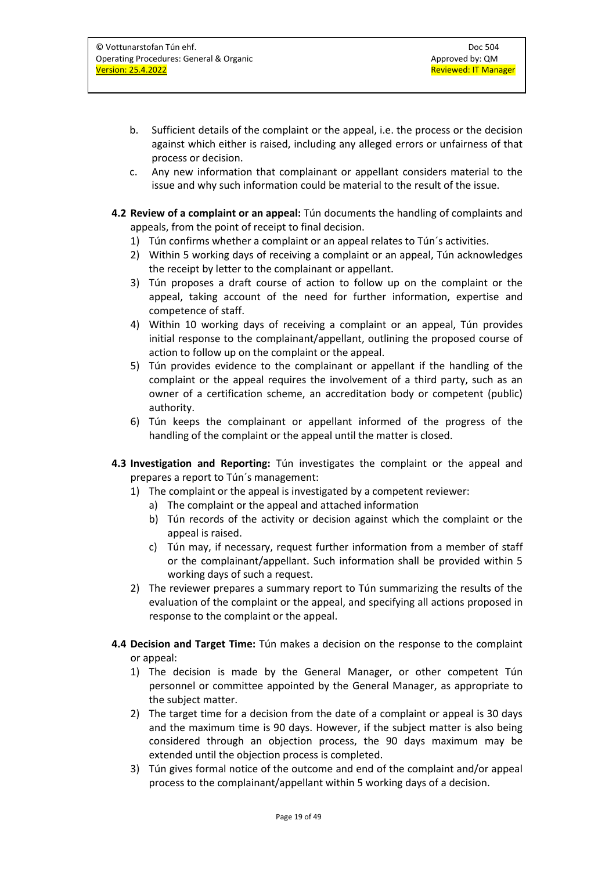- b. Sufficient details of the complaint or the appeal, i.e. the process or the decision against which either is raised, including any alleged errors or unfairness of that process or decision.
- c. Any new information that complainant or appellant considers material to the issue and why such information could be material to the result of the issue.
- **4.2 Review of a complaint or an appeal:** Tún documents the handling of complaints and appeals, from the point of receipt to final decision.
	- 1) Tún confirms whether a complaint or an appeal relates to Tún´s activities.
	- 2) Within 5 working days of receiving a complaint or an appeal, Tún acknowledges the receipt by letter to the complainant or appellant.
	- 3) Tún proposes a draft course of action to follow up on the complaint or the appeal, taking account of the need for further information, expertise and competence of staff.
	- 4) Within 10 working days of receiving a complaint or an appeal, Tún provides initial response to the complainant/appellant, outlining the proposed course of action to follow up on the complaint or the appeal.
	- 5) Tún provides evidence to the complainant or appellant if the handling of the complaint or the appeal requires the involvement of a third party, such as an owner of a certification scheme, an accreditation body or competent (public) authority.
	- 6) Tún keeps the complainant or appellant informed of the progress of the handling of the complaint or the appeal until the matter is closed.
- **4.3 Investigation and Reporting:** Tún investigates the complaint or the appeal and prepares a report to Tún´s management:
	- 1) The complaint or the appeal is investigated by a competent reviewer:
		- a) The complaint or the appeal and attached information
		- b) Tún records of the activity or decision against which the complaint or the appeal is raised.
		- c) Tún may, if necessary, request further information from a member of staff or the complainant/appellant. Such information shall be provided within 5 working days of such a request.
	- 2) The reviewer prepares a summary report to Tún summarizing the results of the evaluation of the complaint or the appeal, and specifying all actions proposed in response to the complaint or the appeal.
- **4.4 Decision and Target Time:** Tún makes a decision on the response to the complaint or appeal:
	- 1) The decision is made by the General Manager, or other competent Tún personnel or committee appointed by the General Manager, as appropriate to the subject matter.
	- 2) The target time for a decision from the date of a complaint or appeal is 30 days and the maximum time is 90 days. However, if the subject matter is also being considered through an objection process, the 90 days maximum may be extended until the objection process is completed.
	- 3) Tún gives formal notice of the outcome and end of the complaint and/or appeal process to the complainant/appellant within 5 working days of a decision.